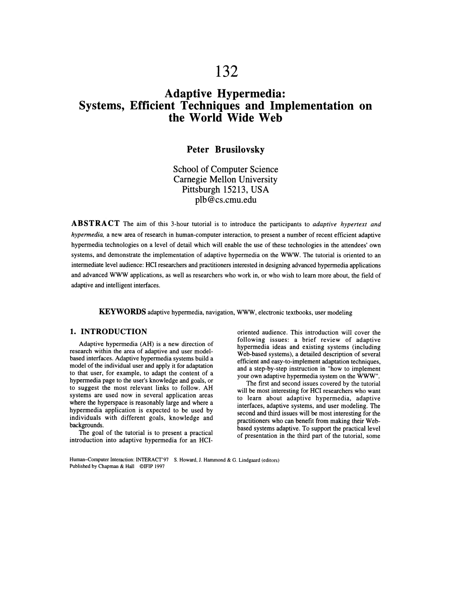# **132**

## **Adaptive Hypermedia: Systems, Efficient Techniques and Implementation on the World Wide Web**

#### **Peter Brusilovsky**

School of Computer Science Carnegie Mellon University Pittsburgh 15213, USA plb@cs.cmu.edu

**ABSTRACT** The aim of this 3-hour tutorial is to introduce the participants to *adaptive hypertext and hypermedia,* a new area of research in human-computer interaction, to present a number of recent efficient adaptive hypermedia technologies on a level of detail which will enable the use of these technologies in the attendees' own systems, and demonstrate the implementation of adaptive hypermedia on the WWW. The tutorial is oriented to an intermediate level audience: HCI researchers and practitioners interested in designing advanced hypermedia applications and advanced WWW applications, as well as researchers who work in, or who wish to learn more about, the field of adaptive and intelligent interfaces.

**KEYWORDS** adaptive hypermedia, navigation, WWW, electronic textbooks, user modeling

#### **1. INTRODUCTION**

Adaptive hypermedia (AH) is a new direction of research within the area of adaptive and user modelbased interfaces. Adaptive hypermedia systems build a model of the individual user and apply it for adaptation to that user, for example, to adapt the content of a hypermedia page to the user's knowledge and goals, or to suggest the most relevant links to follow. AH systems are used now in several application areas where the hyperspace is reasonably large and where a hypermedia application is expected to be used by individuals with different goals, knowledge and backgrounds.

The goal of the tutorial is to present a practical introduction into adaptive hypermedia for an HCI- oriented audience. This introduction will cover the following issues: a brief review of adaptive hypermedia ideas and existing systems (including Web-based systems), a detailed description of several efficient and easy-to-implement adaptation techniques, and a step-by-step instruction in "how to implement your own adaptive hypermedia system on the WWW".

The first and second issues covered by the tutorial will be most interesting for HCI researchers who want to learn about adaptive hypermedia, adaptive interfaces, adaptive systems, and user modeling. The second and third issues will be most interesting for the practitioners who can benefit from making their Webbased systems adaptive. To support the practical level of presentation in the third part of the tutorial, some

Human-Computer Interaction: INTERACT'97 S. Howard, 1. Hammond & G. Lindgaard (editors) Published by Chapman & Hall ©IFIP 1997